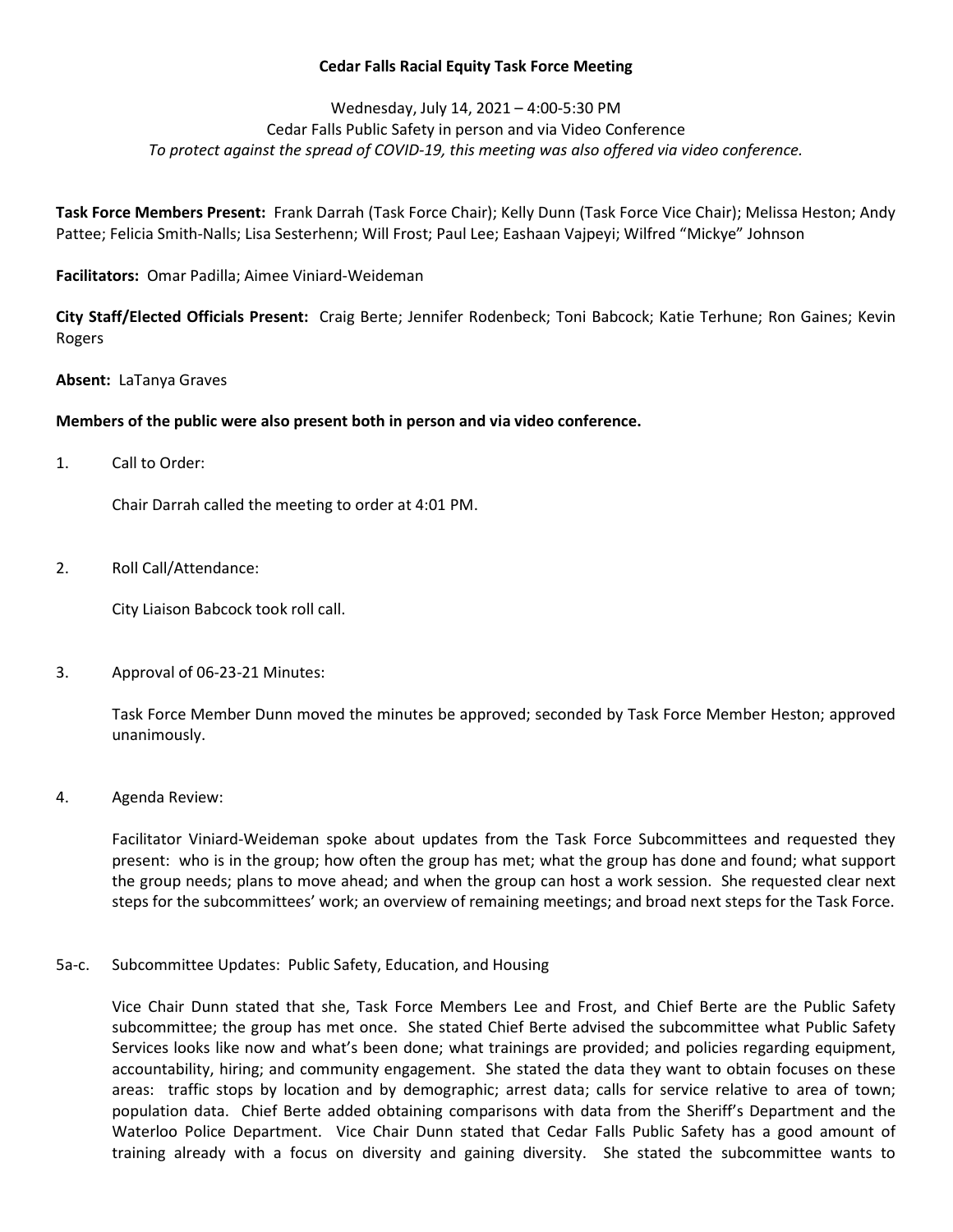## Cedar Falls Racial Equity Task Force Meeting

# Wednesday, July 14, 2021 – 4:00-5:30 PM Cedar Falls Public Safety in person and via Video Conference To protect against the spread of COVID-19, this meeting was also offered via video conference.

Task Force Members Present: Frank Darrah (Task Force Chair); Kelly Dunn (Task Force Vice Chair); Melissa Heston; Andy Pattee; Felicia Smith-Nalls; Lisa Sesterhenn; Will Frost; Paul Lee; Eashaan Vajpeyi; Wilfred "Mickye" Johnson

Facilitators: Omar Padilla; Aimee Viniard-Weideman

City Staff/Elected Officials Present: Craig Berte; Jennifer Rodenbeck; Toni Babcock; Katie Terhune; Ron Gaines; Kevin Rogers

Absent: LaTanya Graves

## Members of the public were also present both in person and via video conference.

1. Call to Order:

Chair Darrah called the meeting to order at 4:01 PM.

2. Roll Call/Attendance:

City Liaison Babcock took roll call.

3. Approval of 06-23-21 Minutes:

Task Force Member Dunn moved the minutes be approved; seconded by Task Force Member Heston; approved unanimously.

4. Agenda Review:

Facilitator Viniard-Weideman spoke about updates from the Task Force Subcommittees and requested they present: who is in the group; how often the group has met; what the group has done and found; what support the group needs; plans to move ahead; and when the group can host a work session. She requested clear next steps for the subcommittees' work; an overview of remaining meetings; and broad next steps for the Task Force.

5a-c. Subcommittee Updates: Public Safety, Education, and Housing

Vice Chair Dunn stated that she, Task Force Members Lee and Frost, and Chief Berte are the Public Safety subcommittee; the group has met once. She stated Chief Berte advised the subcommittee what Public Safety Services looks like now and what's been done; what trainings are provided; and policies regarding equipment, accountability, hiring; and community engagement. She stated the data they want to obtain focuses on these areas: traffic stops by location and by demographic; arrest data; calls for service relative to area of town; population data. Chief Berte added obtaining comparisons with data from the Sheriff's Department and the Waterloo Police Department. Vice Chair Dunn stated that Cedar Falls Public Safety has a good amount of training already with a focus on diversity and gaining diversity. She stated the subcommittee wants to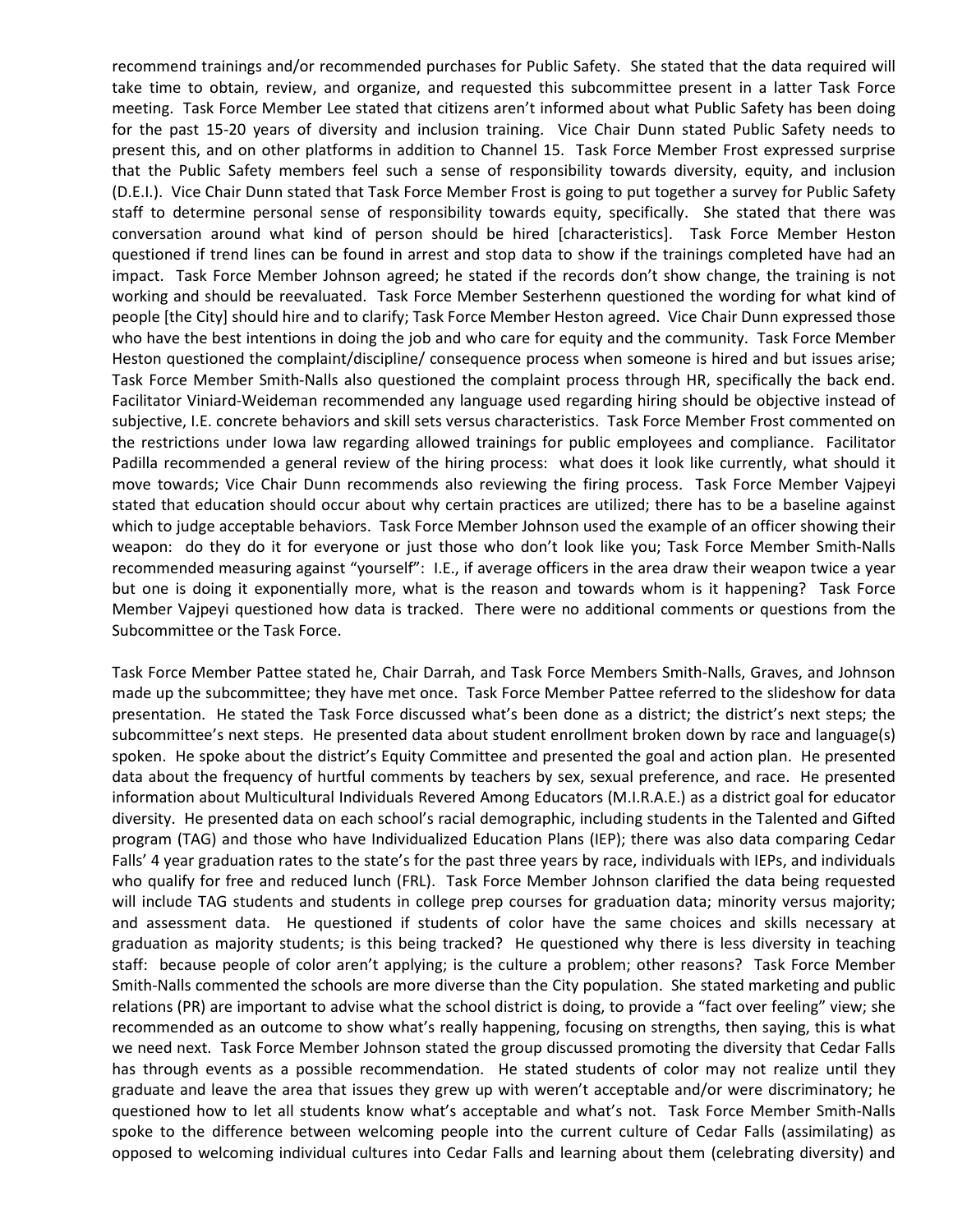recommend trainings and/or recommended purchases for Public Safety. She stated that the data required will take time to obtain, review, and organize, and requested this subcommittee present in a latter Task Force meeting. Task Force Member Lee stated that citizens aren't informed about what Public Safety has been doing for the past 15-20 years of diversity and inclusion training. Vice Chair Dunn stated Public Safety needs to present this, and on other platforms in addition to Channel 15. Task Force Member Frost expressed surprise that the Public Safety members feel such a sense of responsibility towards diversity, equity, and inclusion (D.E.I.). Vice Chair Dunn stated that Task Force Member Frost is going to put together a survey for Public Safety staff to determine personal sense of responsibility towards equity, specifically. She stated that there was conversation around what kind of person should be hired [characteristics]. Task Force Member Heston questioned if trend lines can be found in arrest and stop data to show if the trainings completed have had an impact. Task Force Member Johnson agreed; he stated if the records don't show change, the training is not working and should be reevaluated. Task Force Member Sesterhenn questioned the wording for what kind of people [the City] should hire and to clarify; Task Force Member Heston agreed. Vice Chair Dunn expressed those who have the best intentions in doing the job and who care for equity and the community. Task Force Member Heston questioned the complaint/discipline/ consequence process when someone is hired and but issues arise; Task Force Member Smith-Nalls also questioned the complaint process through HR, specifically the back end. Facilitator Viniard-Weideman recommended any language used regarding hiring should be objective instead of subjective, I.E. concrete behaviors and skill sets versus characteristics. Task Force Member Frost commented on the restrictions under Iowa law regarding allowed trainings for public employees and compliance. Facilitator Padilla recommended a general review of the hiring process: what does it look like currently, what should it move towards; Vice Chair Dunn recommends also reviewing the firing process. Task Force Member Vajpeyi stated that education should occur about why certain practices are utilized; there has to be a baseline against which to judge acceptable behaviors. Task Force Member Johnson used the example of an officer showing their weapon: do they do it for everyone or just those who don't look like you; Task Force Member Smith-Nalls recommended measuring against "yourself": I.E., if average officers in the area draw their weapon twice a year but one is doing it exponentially more, what is the reason and towards whom is it happening? Task Force Member Vajpeyi questioned how data is tracked. There were no additional comments or questions from the Subcommittee or the Task Force.

Task Force Member Pattee stated he, Chair Darrah, and Task Force Members Smith-Nalls, Graves, and Johnson made up the subcommittee; they have met once. Task Force Member Pattee referred to the slideshow for data presentation. He stated the Task Force discussed what's been done as a district; the district's next steps; the subcommittee's next steps. He presented data about student enrollment broken down by race and language(s) spoken. He spoke about the district's Equity Committee and presented the goal and action plan. He presented data about the frequency of hurtful comments by teachers by sex, sexual preference, and race. He presented information about Multicultural Individuals Revered Among Educators (M.I.R.A.E.) as a district goal for educator diversity. He presented data on each school's racial demographic, including students in the Talented and Gifted program (TAG) and those who have Individualized Education Plans (IEP); there was also data comparing Cedar Falls' 4 year graduation rates to the state's for the past three years by race, individuals with IEPs, and individuals who qualify for free and reduced lunch (FRL). Task Force Member Johnson clarified the data being requested will include TAG students and students in college prep courses for graduation data; minority versus majority; and assessment data. He questioned if students of color have the same choices and skills necessary at graduation as majority students; is this being tracked? He questioned why there is less diversity in teaching staff: because people of color aren't applying; is the culture a problem; other reasons? Task Force Member Smith-Nalls commented the schools are more diverse than the City population. She stated marketing and public relations (PR) are important to advise what the school district is doing, to provide a "fact over feeling" view; she recommended as an outcome to show what's really happening, focusing on strengths, then saying, this is what we need next. Task Force Member Johnson stated the group discussed promoting the diversity that Cedar Falls has through events as a possible recommendation. He stated students of color may not realize until they graduate and leave the area that issues they grew up with weren't acceptable and/or were discriminatory; he questioned how to let all students know what's acceptable and what's not. Task Force Member Smith-Nalls spoke to the difference between welcoming people into the current culture of Cedar Falls (assimilating) as opposed to welcoming individual cultures into Cedar Falls and learning about them (celebrating diversity) and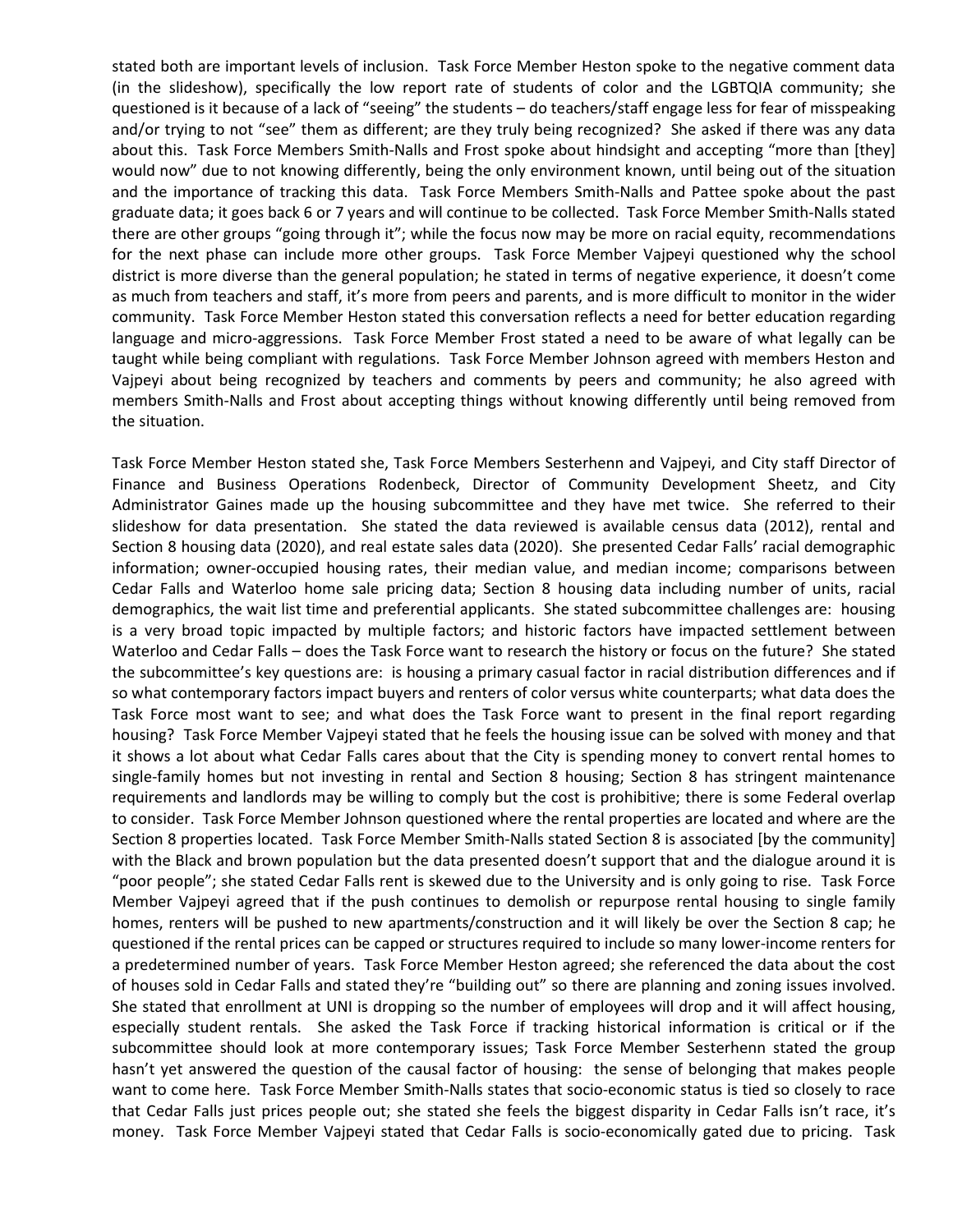stated both are important levels of inclusion. Task Force Member Heston spoke to the negative comment data (in the slideshow), specifically the low report rate of students of color and the LGBTQIA community; she questioned is it because of a lack of "seeing" the students – do teachers/staff engage less for fear of misspeaking and/or trying to not "see" them as different; are they truly being recognized? She asked if there was any data about this. Task Force Members Smith-Nalls and Frost spoke about hindsight and accepting "more than [they] would now" due to not knowing differently, being the only environment known, until being out of the situation and the importance of tracking this data. Task Force Members Smith-Nalls and Pattee spoke about the past graduate data; it goes back 6 or 7 years and will continue to be collected. Task Force Member Smith-Nalls stated there are other groups "going through it"; while the focus now may be more on racial equity, recommendations for the next phase can include more other groups. Task Force Member Vajpeyi questioned why the school district is more diverse than the general population; he stated in terms of negative experience, it doesn't come as much from teachers and staff, it's more from peers and parents, and is more difficult to monitor in the wider community. Task Force Member Heston stated this conversation reflects a need for better education regarding language and micro-aggressions. Task Force Member Frost stated a need to be aware of what legally can be taught while being compliant with regulations. Task Force Member Johnson agreed with members Heston and Vajpeyi about being recognized by teachers and comments by peers and community; he also agreed with members Smith-Nalls and Frost about accepting things without knowing differently until being removed from the situation.

Task Force Member Heston stated she, Task Force Members Sesterhenn and Vajpeyi, and City staff Director of Finance and Business Operations Rodenbeck, Director of Community Development Sheetz, and City Administrator Gaines made up the housing subcommittee and they have met twice. She referred to their slideshow for data presentation. She stated the data reviewed is available census data (2012), rental and Section 8 housing data (2020), and real estate sales data (2020). She presented Cedar Falls' racial demographic information; owner-occupied housing rates, their median value, and median income; comparisons between Cedar Falls and Waterloo home sale pricing data; Section 8 housing data including number of units, racial demographics, the wait list time and preferential applicants. She stated subcommittee challenges are: housing is a very broad topic impacted by multiple factors; and historic factors have impacted settlement between Waterloo and Cedar Falls – does the Task Force want to research the history or focus on the future? She stated the subcommittee's key questions are: is housing a primary casual factor in racial distribution differences and if so what contemporary factors impact buyers and renters of color versus white counterparts; what data does the Task Force most want to see; and what does the Task Force want to present in the final report regarding housing? Task Force Member Vajpeyi stated that he feels the housing issue can be solved with money and that it shows a lot about what Cedar Falls cares about that the City is spending money to convert rental homes to single-family homes but not investing in rental and Section 8 housing; Section 8 has stringent maintenance requirements and landlords may be willing to comply but the cost is prohibitive; there is some Federal overlap to consider. Task Force Member Johnson questioned where the rental properties are located and where are the Section 8 properties located. Task Force Member Smith-Nalls stated Section 8 is associated [by the community] with the Black and brown population but the data presented doesn't support that and the dialogue around it is "poor people"; she stated Cedar Falls rent is skewed due to the University and is only going to rise. Task Force Member Vajpeyi agreed that if the push continues to demolish or repurpose rental housing to single family homes, renters will be pushed to new apartments/construction and it will likely be over the Section 8 cap; he questioned if the rental prices can be capped or structures required to include so many lower-income renters for a predetermined number of years. Task Force Member Heston agreed; she referenced the data about the cost of houses sold in Cedar Falls and stated they're "building out" so there are planning and zoning issues involved. She stated that enrollment at UNI is dropping so the number of employees will drop and it will affect housing, especially student rentals. She asked the Task Force if tracking historical information is critical or if the subcommittee should look at more contemporary issues; Task Force Member Sesterhenn stated the group hasn't yet answered the question of the causal factor of housing: the sense of belonging that makes people want to come here. Task Force Member Smith-Nalls states that socio-economic status is tied so closely to race that Cedar Falls just prices people out; she stated she feels the biggest disparity in Cedar Falls isn't race, it's money. Task Force Member Vajpeyi stated that Cedar Falls is socio-economically gated due to pricing. Task